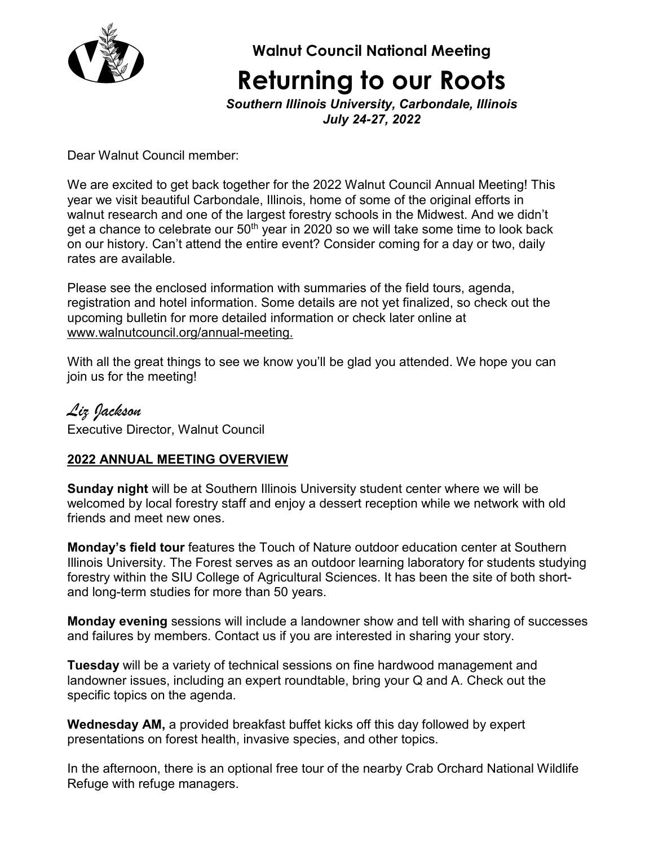

**Walnut Council National Meeting**

# **Returning to our Roots**

*Southern Illinois University, Carbondale, Illinois July 24-27, 2022*

Dear Walnut Council member:

We are excited to get back together for the 2022 Walnut Council Annual Meeting! This year we visit beautiful Carbondale, Illinois, home of some of the original efforts in walnut research and one of the largest forestry schools in the Midwest. And we didn't get a chance to celebrate our  $50<sup>th</sup>$  year in 2020 so we will take some time to look back on our history. Can't attend the entire event? Consider coming for a day or two, daily rates are available.

Please see the enclosed information with summaries of the field tours, agenda, registration and hotel information. Some details are not yet finalized, so check out the upcoming bulletin for more detailed information or check later online at [www.walnutcouncil.org/annual-meeting.](http://www.walnutcouncil.org/annual-meeting)

With all the great things to see we know you'll be glad you attended. We hope you can join us for the meeting!

*Liz Jackson* Executive Director, Walnut Council

#### **2022 ANNUAL MEETING OVERVIEW**

**Sunday night** will be at Southern Illinois University student center where we will be welcomed by local forestry staff and enjoy a dessert reception while we network with old friends and meet new ones.

**Monday's field tour** features the Touch of Nature outdoor education center at Southern Illinois University. The Forest serves as an outdoor learning laboratory for students studying forestry within the SIU College of Agricultural Sciences. It has been the site of both shortand long-term studies for more than 50 years.

**Monday evening** sessions will include a landowner show and tell with sharing of successes and failures by members. Contact us if you are interested in sharing your story.

**Tuesday** will be a variety of technical sessions on fine hardwood management and landowner issues, including an expert roundtable, bring your Q and A. Check out the specific topics on the agenda.

**Wednesday AM,** a provided breakfast buffet kicks off this day followed by expert presentations on forest health, invasive species, and other topics.

In the afternoon, there is an optional free tour of the nearby Crab Orchard National Wildlife Refuge with refuge managers.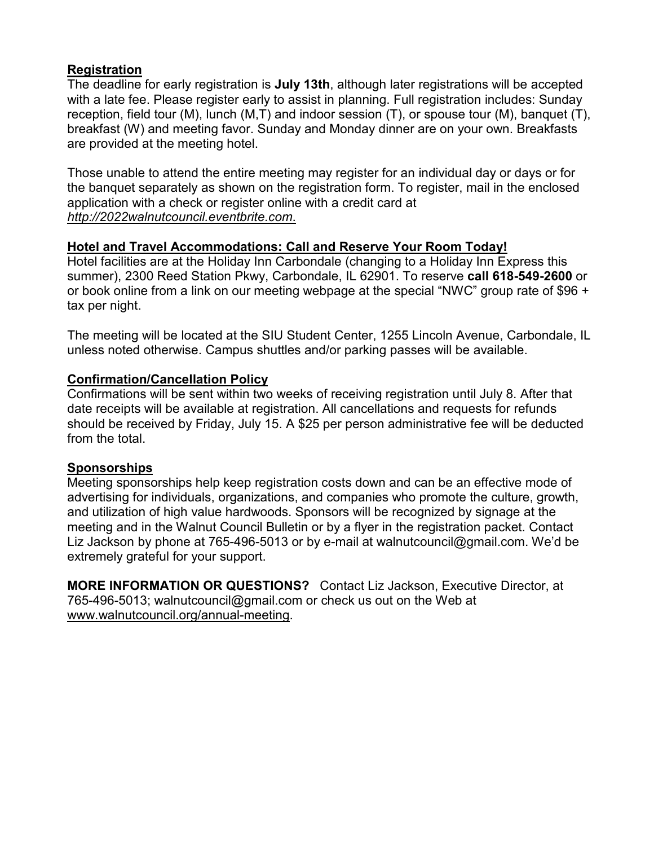#### **Registration**

The deadline for early registration is **July 13th**, although later registrations will be accepted with a late fee. Please register early to assist in planning. Full registration includes: Sunday reception, field tour (M), lunch (M,T) and indoor session (T), or spouse tour (M), banquet (T), breakfast (W) and meeting favor. Sunday and Monday dinner are on your own. Breakfasts are provided at the meeting hotel.

Those unable to attend the entire meeting may register for an individual day or days or for the banquet separately as shown on the registration form. To register, mail in the enclosed application with a check or register online with a credit card at *[http://2022walnutcouncil.eventbrite.com](http://2022walnutcouncil.eventbrite.com./)*.

#### **Hotel and Travel Accommodations: Call and Reserve Your Room Today!**

Hotel facilities are at the Holiday Inn Carbondale (changing to a Holiday Inn Express this summer), 2300 Reed Station Pkwy, Carbondale, IL 62901. To reserve **call 618-549-2600** or or book online from a link on our meeting webpage at the special "NWC" group rate of \$96 + tax per night.

The meeting will be located at the SIU Student Center, 1255 Lincoln Avenue, Carbondale, IL unless noted otherwise. Campus shuttles and/or parking passes will be available.

#### **Confirmation/Cancellation Policy**

Confirmations will be sent within two weeks of receiving registration until July 8. After that date receipts will be available at registration. All cancellations and requests for refunds should be received by Friday, July 15. A \$25 per person administrative fee will be deducted from the total.

#### **Sponsorships**

Meeting sponsorships help keep registration costs down and can be an effective mode of advertising for individuals, organizations, and companies who promote the culture, growth, and utilization of high value hardwoods. Sponsors will be recognized by signage at the meeting and in the Walnut Council Bulletin or by a flyer in the registration packet. Contact Liz Jackson by phone at 765-496-5013 or by e-mail at walnutcouncil@gmail.com. We'd be extremely grateful for your support.

**MORE INFORMATION OR QUESTIONS?** Contact Liz Jackson, Executive Director, at 765-496-5013; walnutcouncil@gmail.com or check us out on the Web at [www.walnutcouncil.org/annual-meeting.](http://www.walnutcouncil.org/annual-meeting)